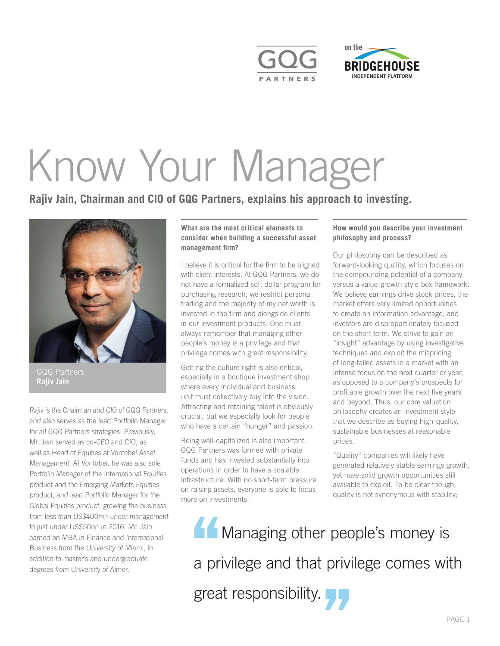



# Know Your Manager

**Rajiv Jain, Chairman and CIO of GQG Partners, explains his approach to investing.** 



GQG Partners **Rajiv Jain**

*Rajiv is the Chairman and CIO of GQG Partners, and also serves as the lead Portfolio Manager for all GQG Partners strategies. Previously, Mr. Jain served as co-CEO and CIO, as well as Head of Equities at Vontobel Asset Management. At Vontobel, he was also sole Portfolio Manager of the International Equities product and the Emerging Markets Equities product, and lead Portfolio Manager for the Global Equities product, growing the business from less than US\$400mn under management to just under US\$50bn in 2016. Mr. Jain earned an MBA in Finance and International Business from the University of Miami, in addition to master's and undergraduate degrees from University of Ajmer.* 

# **What are the most critical elements to consider when building a successful asset management firm?**

I believe it is critical for the firm to be aligned with client interests. At GQG Partners, we do not have a formalized soft dollar program for purchasing research, we restrict personal trading and the majority of my net worth is invested in the firm and alongside clients in our investment products. One must always remember that managing other people's money is a privilege and that privilege comes with great responsibility.

Getting the culture right is also critical, especially in a boutique investment shop where every individual and business unit must collectively buy into the vision. Attracting and retaining talent is obviously crucial, but we especially look for people who have a certain "hunger" and passion.

Being well-capitalized is also important. GQG Partners was formed with private funds and has invested substantially into operations in order to have a scalable infrastructure. With no short-term pressure on raising assets, everyone is able to focus more on investments.

# **How would you describe your investment philosophy and process?**

Our philosophy can be described as forward-looking quality, which focuses on the compounding potential of a company versus a value-growth style box framework. We believe earnings drive stock prices, the market offers very limited opportunities to create an information advantage, and investors are disproportionately focused on the short term. We strive to gain an "insight" advantage by using investigative techniques and exploit the mispricing of long-tailed assets in a market with an intense focus on the next quarter or year, as opposed to a company's prospects for profitable growth over the next five years and beyond. Thus, our core valuation philosophy creates an investment style that we describe as buying high-quality, sustainable businesses at reasonable prices.

"Quality" companies will likely have generated relatively stable earnings growth, yet have solid growth opportunities still available to exploit. To be clear though, quality is not synonymous with stability;

<sup>1</sup>Ma<br>
a privile<br>
great re Managing other pec<br>a privilege and that privi<br>great responsibility. **Managing other people's money is** a privilege and that privilege comes with great responsibility.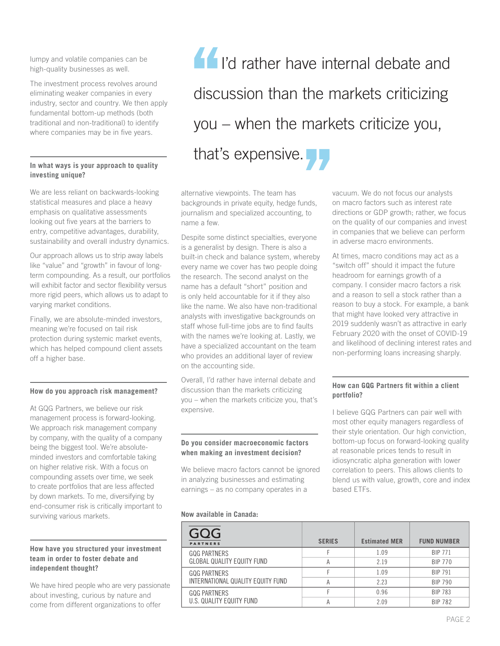lumpy and volatile companies can be high-quality businesses as well.

The investment process revolves around eliminating weaker companies in every industry, sector and country. We then apply fundamental bottom-up methods (both traditional and non-traditional) to identify where companies may be in five years.

## **In what ways is your approach to quality investing unique?**

We are less reliant on backwards-looking statistical measures and place a heavy emphasis on qualitative assessments looking out five years at the barriers to entry, competitive advantages, durability, sustainability and overall industry dynamics.

Our approach allows us to strip away labels like "value" and "growth" in favour of longterm compounding. As a result, our portfolios will exhibit factor and sector flexibility versus more rigid peers, which allows us to adapt to varying market conditions.

Finally, we are absolute-minded investors, meaning we're focused on tail risk protection during systemic market events, which has helped compound client assets off a higher base.

#### **How do you approach risk management?**

At GQG Partners, we believe our risk management process is forward-looking. We approach risk management company by company, with the quality of a company being the biggest tool. We're absoluteminded investors and comfortable taking on higher relative risk. With a focus on compounding assets over time, we seek to create portfolios that are less affected by down markets. To me, diversifying by end-consumer risk is critically important to surviving various markets.

## **How have you structured your investment team in order to foster debate and independent thought?**

We have hired people who are very passionate about investing, curious by nature and come from different organizations to offer

 $\frac{1}{1}$ <br>
discuss<br>
vou – v dis<br>yo<br>tha discussion than the r<br>you – when the mark<br>that's expensive. **I'd rather have internal debate and** discussion than the markets criticizing you – when the markets criticize you, that's expensive.

alternative viewpoints. The team has backgrounds in private equity, hedge funds, journalism and specialized accounting, to name a few.

Despite some distinct specialties, everyone is a generalist by design. There is also a built-in check and balance system, whereby every name we cover has two people doing the research. The second analyst on the name has a default "short" position and is only held accountable for it if they also like the name. We also have non-traditional analysts with investigative backgrounds on staff whose full-time jobs are to find faults with the names we're looking at. Lastly, we have a specialized accountant on the team who provides an additional layer of review on the accounting side.

Overall, I'd rather have internal debate and discussion than the markets criticizing you – when the markets criticize you, that's expensive.

### **Do you consider macroeconomic factors when making an investment decision?**

We believe macro factors cannot be ignored in analyzing businesses and estimating earnings – as no company operates in a

#### **Now available in Canada:**

vacuum. We do not focus our analysts on macro factors such as interest rate directions or GDP growth; rather, we focus on the quality of our companies and invest in companies that we believe can perform in adverse macro environments.

At times, macro conditions may act as a "switch off" should it impact the future headroom for earnings growth of a company. I consider macro factors a risk and a reason to sell a stock rather than a reason to buy a stock. For example, a bank that might have looked very attractive in 2019 suddenly wasn't as attractive in early February 2020 with the onset of COVID-19 and likelihood of declining interest rates and non-performing loans increasing sharply.

# **How can GQG Partners fit within a client portfolio?**

I believe GQG Partners can pair well with most other equity managers regardless of their style orientation. Our high conviction, bottom-up focus on forward-looking quality at reasonable prices tends to result in idiosyncratic alpha generation with lower correlation to peers. This allows clients to blend us with value, growth, core and index based ETFs.

| GQG<br><b>PARTNERS</b>                                   | <b>SERIES</b> | <b>Estimated MER</b> | <b>FUND NUMBER</b> |
|----------------------------------------------------------|---------------|----------------------|--------------------|
| <b>GOG PARTNERS</b><br>GLOBAL QUALITY EQUITY FUND        |               | 1.09                 | <b>BIP 771</b>     |
|                                                          | А             | 2.19                 | <b>BIP 770</b>     |
| <b>GOG PARTNERS</b><br>INTERNATIONAL QUALITY EQUITY FUND |               | 1.09                 | <b>BIP 791</b>     |
|                                                          | А             | 2.23                 | <b>BIP 790</b>     |
| <b>GOG PARTNERS</b><br>U.S. QUALITY EQUITY FUND          |               | 0.96                 | <b>BIP 783</b>     |
|                                                          | А             | 2.09                 | <b>BIP 782</b>     |